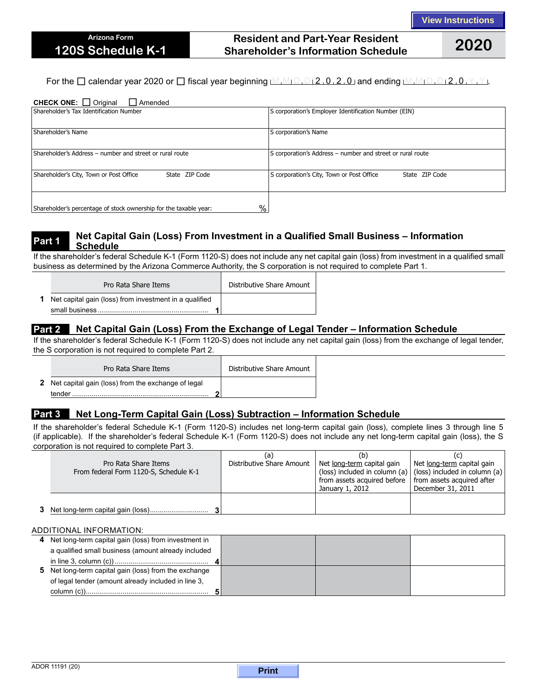## **Resident and Part-Year Resident Shareholder's Information Schedule 2020**

For the  $\Box$  calendar year 2020 or  $\Box$  fiscal year beginning  $M_1M_1D_1D_2$ , 0, 2, 0, and ending  $M_1M_1D_1D_12$ , 0,  $Y_1Y_2$ .

#### CHECK ONE: □ Original □ Amended

| Shareholder's Tax Identification Number                                | S corporation's Employer Identification Number (EIN)        |  |  |  |
|------------------------------------------------------------------------|-------------------------------------------------------------|--|--|--|
| Shareholder's Name                                                     | S corporation's Name                                        |  |  |  |
| Shareholder's Address - number and street or rural route               | S corporation's Address - number and street or rural route  |  |  |  |
| Shareholder's City, Town or Post Office<br>State ZIP Code              | S corporation's City, Town or Post Office<br>State ZIP Code |  |  |  |
| %<br>Shareholder's percentage of stock ownership for the taxable year: |                                                             |  |  |  |

#### **Part 1 Net Capital Gain (Loss) From Investment in a Qualified Small Business – Information Schedule**

If the shareholder's federal Schedule K-1 (Form 1120-S) does not include any net capital gain (loss) from investment in a qualified small business as determined by the Arizona Commerce Authority, the S corporation is not required to complete Part 1.

| Pro Rata Share Items                                            | Distributive Share Amount |
|-----------------------------------------------------------------|---------------------------|
| <b>1</b> Net capital gain (loss) from investment in a qualified |                           |
|                                                                 |                           |

## **Part 2 Net Capital Gain (Loss) From the Exchange of Legal Tender – Information Schedule**

If the shareholder's federal Schedule K-1 (Form 1120-S) does not include any net capital gain (loss) from the exchange of legal tender, the S corporation is not required to complete Part 2.

| Pro Rata Share Items                                        | Distributive Share Amount |
|-------------------------------------------------------------|---------------------------|
| <b>2</b> Net capital gain (loss) from the exchange of legal |                           |
| tender                                                      |                           |

## **Part 3 Net Long-Term Capital Gain (Loss) Subtraction – Information Schedule**

If the shareholder's federal Schedule K-1 (Form 1120-S) includes net long-term capital gain (loss), complete lines 3 through line 5 (if applicable). If the shareholder's federal Schedule K-1 (Form 1120-S) does not include any net long-term capital gain (loss), the S corporation is not required to complete Part 3.

| Pro Rata Share Items<br>From federal Form 1120-S, Schedule K-1 | (a<br>Distributive Share Amount | (b)<br>Net long-term capital gain<br>from assets acquired before   from assets acquired after<br>January 1, 2012 | Net long-term capital gain<br>(loss) included in column (a)   (loss) included in column (a)<br>December 31, 2011 |
|----------------------------------------------------------------|---------------------------------|------------------------------------------------------------------------------------------------------------------|------------------------------------------------------------------------------------------------------------------|
|                                                                |                                 |                                                                                                                  |                                                                                                                  |

#### ADDITIONAL INFORMATION:

| 4 Net long-term capital gain (loss) from investment in |  |  |
|--------------------------------------------------------|--|--|
| a qualified small business (amount already included    |  |  |
|                                                        |  |  |
| 5 Net long-term capital gain (loss) from the exchange  |  |  |
| of legal tender (amount already included in line 3,    |  |  |
|                                                        |  |  |